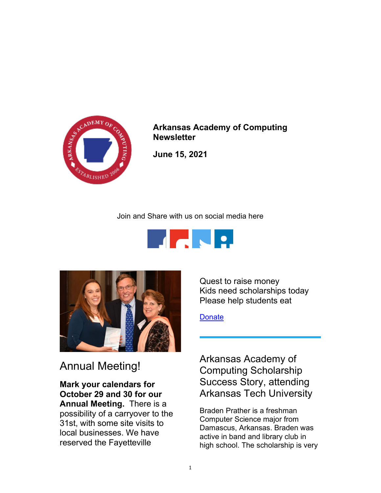

Arkansas Academy of Computing **Newsletter** 

June 15, 2021

Join and Share with us on social media here





# Annual Meeting!

Mark your calendars for October 29 and 30 for our Annual Meeting. There is a possibility of a carryover to the 31st, with some site visits to local businesses. We have reserved the Fayetteville

Quest to raise money Kids need scholarships today Please help students eat

**Donate** 

Arkansas Academy of Computing Scholarship Success Story, attending Arkansas Tech University

Braden Prather is a freshman Computer Science major from Damascus, Arkansas. Braden was active in band and library club in high school. The scholarship is very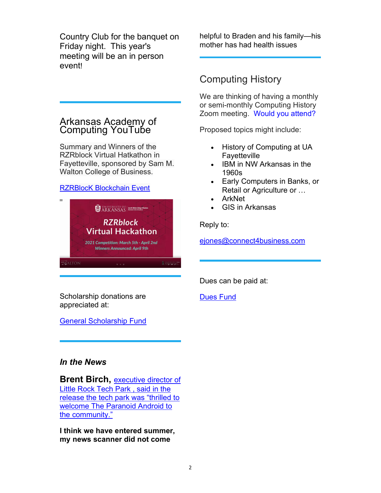Country Club for the banquet on Friday night. This year's meeting will be an in person event!

## Arkansas Academy of Computing YouTube

Summary and Winners of the RZRblock Virtual Hatkathon in Fayetteville, sponsored by Sam M. Walton College of Business.

### RZRBlocK Blockchain Event



helpful to Braden and his family—his mother has had health issues

## Computing History

We are thinking of having a monthly or semi-monthly Computing History Zoom meeting. Would you attend?

Proposed topics might include:

- History of Computing at UA Fayetteville
- IBM in NW Arkansas in the 1960s
- Early Computers in Banks, or Retail or Agriculture or …
- ArkNet
- GIS in Arkansas

Reply to:

ejones@connect4business.com

Dues can be paid at:

Dues Fund

Scholarship donations are appreciated at:

General Scholarship Fund

## In the News

**Brent Birch, executive director of** Little Rock Tech Park , said in the release the tech park was "thrilled to welcome The Paranoid Android to the community."

I think we have entered summer, my news scanner did not come